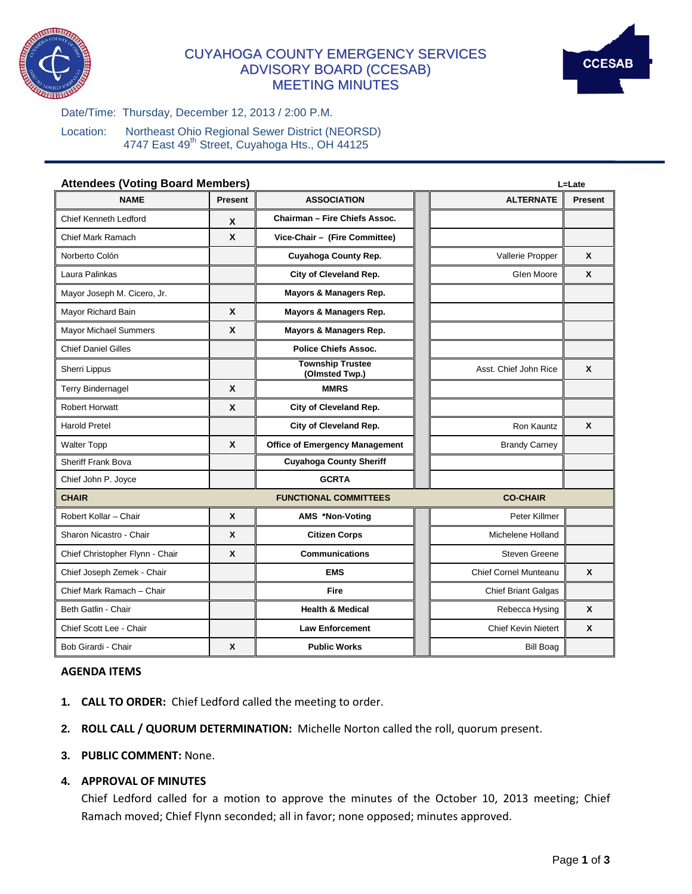

# CUYAHOGA COUNTY EMERGENCY SERVICES ADVISORY BOARD (CCESAB) MEETING MINUTES



Date/Time: Thursday, December 12, 2013 / 2:00 P.M.

Location: Northeast Ohio Regional Sewer District (NEORSD) 4747 East 49<sup>th</sup> Street, Cuyahoga Hts., OH 44125

| <b>Attendees (Voting Board Members)</b> | L=Late                    |                                           |                            |                |
|-----------------------------------------|---------------------------|-------------------------------------------|----------------------------|----------------|
| <b>NAME</b>                             | <b>Present</b>            | <b>ASSOCIATION</b>                        | <b>ALTERNATE</b>           | <b>Present</b> |
| <b>Chief Kenneth Ledford</b>            | X                         | Chairman - Fire Chiefs Assoc.             |                            |                |
| <b>Chief Mark Ramach</b>                | $\mathbf x$               | Vice-Chair - (Fire Committee)             |                            |                |
| Norberto Colón                          |                           | Cuyahoga County Rep.                      | Vallerie Propper           | $\mathsf{x}$   |
| Laura Palinkas                          |                           | City of Cleveland Rep.                    | Glen Moore                 | $\mathsf{x}$   |
| Mayor Joseph M. Cicero, Jr.             |                           | Mayors & Managers Rep.                    |                            |                |
| Mayor Richard Bain                      | X                         | Mayors & Managers Rep.                    |                            |                |
| <b>Mayor Michael Summers</b>            | $\boldsymbol{x}$          | Mayors & Managers Rep.                    |                            |                |
| <b>Chief Daniel Gilles</b>              |                           | <b>Police Chiefs Assoc.</b>               |                            |                |
| Sherri Lippus                           |                           | <b>Township Trustee</b><br>(Olmsted Twp.) | Asst. Chief John Rice      | $\mathsf{x}$   |
| <b>Terry Bindernagel</b>                | X                         | <b>MMRS</b>                               |                            |                |
| <b>Robert Horwatt</b>                   | $\boldsymbol{x}$          | City of Cleveland Rep.                    |                            |                |
| <b>Harold Pretel</b>                    |                           | City of Cleveland Rep.                    | Ron Kauntz                 | $\mathbf{x}$   |
| <b>Walter Topp</b>                      | $\mathbf{x}$              | <b>Office of Emergency Management</b>     | <b>Brandy Carney</b>       |                |
| <b>Sheriff Frank Bova</b>               |                           | <b>Cuyahoga County Sheriff</b>            |                            |                |
| Chief John P. Joyce                     |                           | <b>GCRTA</b>                              |                            |                |
| <b>CHAIR</b>                            |                           | <b>FUNCTIONAL COMMITTEES</b>              | <b>CO-CHAIR</b>            |                |
| Robert Kollar - Chair                   | X                         | AMS *Non-Voting                           | Peter Killmer              |                |
| Sharon Nicastro - Chair                 | $\boldsymbol{\mathsf{x}}$ | <b>Citizen Corps</b>                      | Michelene Holland          |                |
| Chief Christopher Flynn - Chair         | X                         | <b>Communications</b>                     | Steven Greene              |                |
| Chief Joseph Zemek - Chair              |                           | <b>EMS</b>                                | Chief Cornel Munteanu      | X              |
| Chief Mark Ramach - Chair               |                           | <b>Fire</b>                               | <b>Chief Briant Galgas</b> |                |
| Beth Gatlin - Chair                     |                           | <b>Health &amp; Medical</b>               | Rebecca Hysing             | X              |
| Chief Scott Lee - Chair                 |                           | <b>Law Enforcement</b>                    | <b>Chief Kevin Nietert</b> | X              |
| Bob Girardi - Chair                     | $\boldsymbol{x}$          | <b>Public Works</b>                       | <b>Bill Boag</b>           |                |

#### **AGENDA ITEMS**

- **1. CALL TO ORDER:** Chief Ledford called the meeting to order.
- **2. ROLL CALL / QUORUM DETERMINATION:** Michelle Norton called the roll, quorum present.
- **3. PUBLIC COMMENT:** None.

# **4. APPROVAL OF MINUTES**

Chief Ledford called for a motion to approve the minutes of the October 10, 2013 meeting; Chief Ramach moved; Chief Flynn seconded; all in favor; none opposed; minutes approved.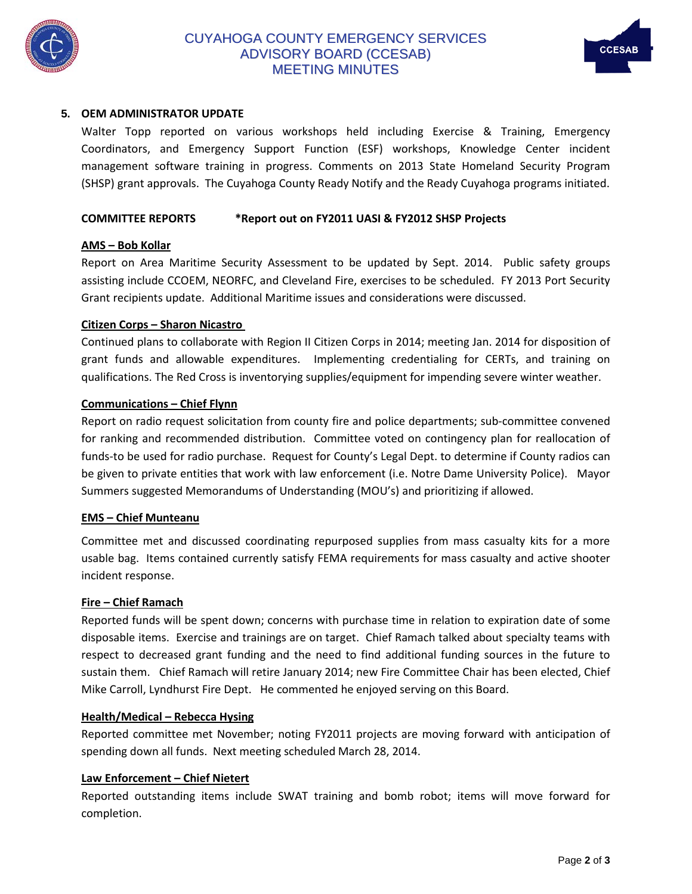

# CUYAHOGA COUNTY EMERGENCY SERVICES ADVISORY BOARD (CCESAB) MEETING MINUTES



# **5. OEM ADMINISTRATOR UPDATE**

Walter Topp reported on various workshops held including Exercise & Training, Emergency Coordinators, and Emergency Support Function (ESF) workshops, Knowledge Center incident management software training in progress. Comments on 2013 State Homeland Security Program (SHSP) grant approvals. The Cuyahoga County Ready Notify and the Ready Cuyahoga programs initiated.

# **COMMITTEE REPORTS \*Report out on FY2011 UASI & FY2012 SHSP Projects**

### **AMS – Bob Kollar**

Report on Area Maritime Security Assessment to be updated by Sept. 2014. Public safety groups assisting include CCOEM, NEORFC, and Cleveland Fire, exercises to be scheduled. FY 2013 Port Security Grant recipients update. Additional Maritime issues and considerations were discussed.

### **Citizen Corps – Sharon Nicastro**

Continued plans to collaborate with Region II Citizen Corps in 2014; meeting Jan. 2014 for disposition of grant funds and allowable expenditures. Implementing credentialing for CERTs, and training on qualifications. The Red Cross is inventorying supplies/equipment for impending severe winter weather.

### **Communications – Chief Flynn**

Report on radio request solicitation from county fire and police departments; sub-committee convened for ranking and recommended distribution. Committee voted on contingency plan for reallocation of funds-to be used for radio purchase. Request for County's Legal Dept. to determine if County radios can be given to private entities that work with law enforcement (i.e. Notre Dame University Police). Mayor Summers suggested Memorandums of Understanding (MOU's) and prioritizing if allowed.

#### **EMS – Chief Munteanu**

Committee met and discussed coordinating repurposed supplies from mass casualty kits for a more usable bag. Items contained currently satisfy FEMA requirements for mass casualty and active shooter incident response.

#### **Fire – Chief Ramach**

Reported funds will be spent down; concerns with purchase time in relation to expiration date of some disposable items. Exercise and trainings are on target. Chief Ramach talked about specialty teams with respect to decreased grant funding and the need to find additional funding sources in the future to sustain them. Chief Ramach will retire January 2014; new Fire Committee Chair has been elected, Chief Mike Carroll, Lyndhurst Fire Dept. He commented he enjoyed serving on this Board.

#### **Health/Medical – Rebecca Hysing**

Reported committee met November; noting FY2011 projects are moving forward with anticipation of spending down all funds. Next meeting scheduled March 28, 2014.

# **Law Enforcement – Chief Nietert**

Reported outstanding items include SWAT training and bomb robot; items will move forward for completion.